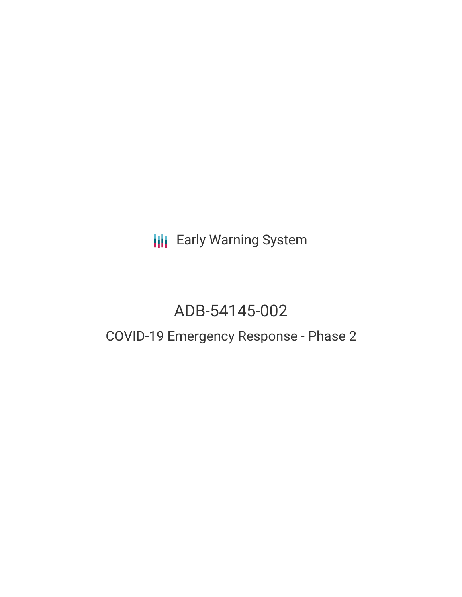**III** Early Warning System

# ADB-54145-002

## COVID-19 Emergency Response - Phase 2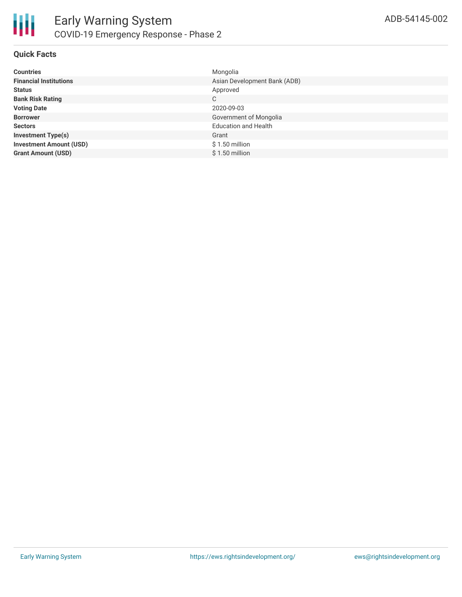

#### **Quick Facts**

| <b>Countries</b>               | Mongolia                     |
|--------------------------------|------------------------------|
| <b>Financial Institutions</b>  | Asian Development Bank (ADB) |
| <b>Status</b>                  | Approved                     |
| <b>Bank Risk Rating</b>        | C                            |
| <b>Voting Date</b>             | 2020-09-03                   |
| <b>Borrower</b>                | Government of Mongolia       |
| <b>Sectors</b>                 | <b>Education and Health</b>  |
| <b>Investment Type(s)</b>      | Grant                        |
| <b>Investment Amount (USD)</b> | $$1.50$ million              |
| <b>Grant Amount (USD)</b>      | $$1.50$ million              |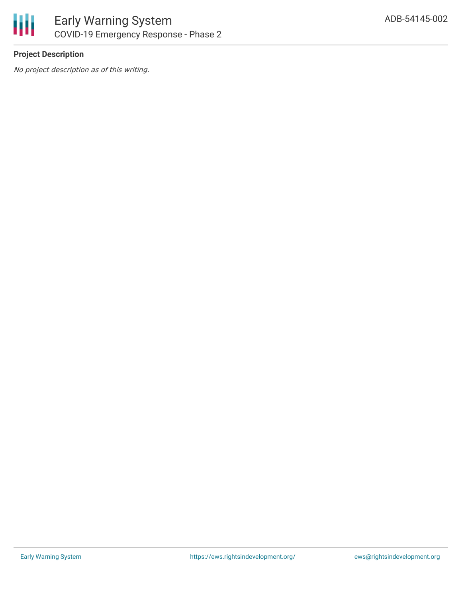

### **Project Description**

No project description as of this writing.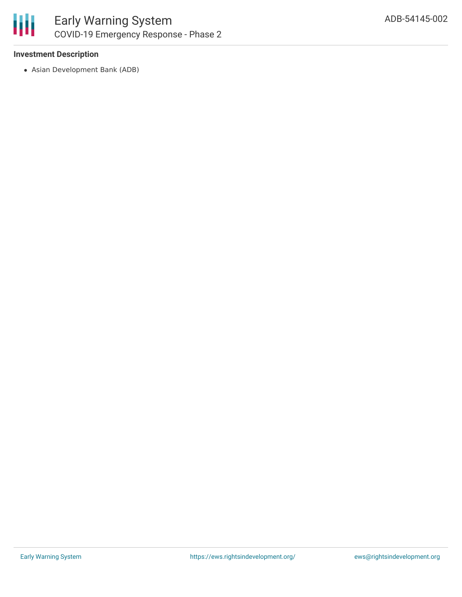

#### **Investment Description**

Asian Development Bank (ADB)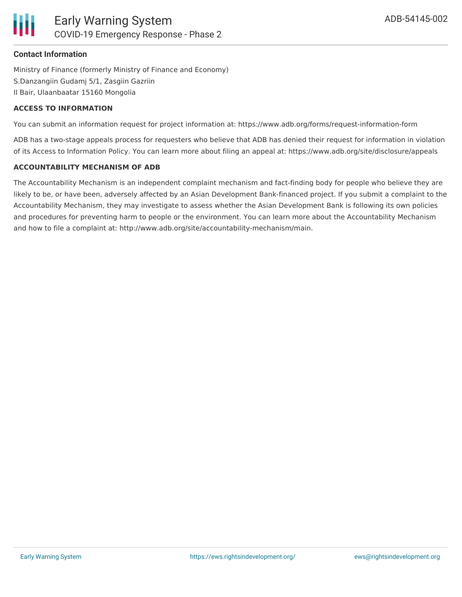#### **Contact Information**

Ministry of Finance (formerly Ministry of Finance and Economy) S.Danzangiin Gudamj 5/1, Zasgiin Gazriin II Bair, Ulaanbaatar 15160 Mongolia

#### **ACCESS TO INFORMATION**

You can submit an information request for project information at: https://www.adb.org/forms/request-information-form

ADB has a two-stage appeals process for requesters who believe that ADB has denied their request for information in violation of its Access to Information Policy. You can learn more about filing an appeal at: https://www.adb.org/site/disclosure/appeals

#### **ACCOUNTABILITY MECHANISM OF ADB**

The Accountability Mechanism is an independent complaint mechanism and fact-finding body for people who believe they are likely to be, or have been, adversely affected by an Asian Development Bank-financed project. If you submit a complaint to the Accountability Mechanism, they may investigate to assess whether the Asian Development Bank is following its own policies and procedures for preventing harm to people or the environment. You can learn more about the Accountability Mechanism and how to file a complaint at: http://www.adb.org/site/accountability-mechanism/main.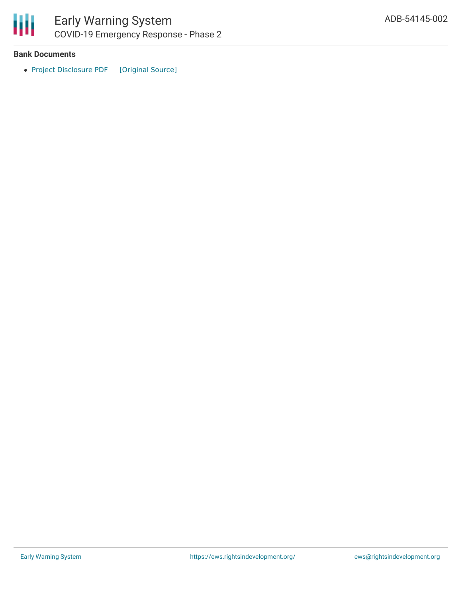

#### **Bank Documents**

• Project [Disclosure](https://ewsdata.rightsindevelopment.org/files/documents/02/ADB-54145-002.pdf) PDF [\[Original](https://www.adb.org/printpdf/projects/54145-002/main) Source]